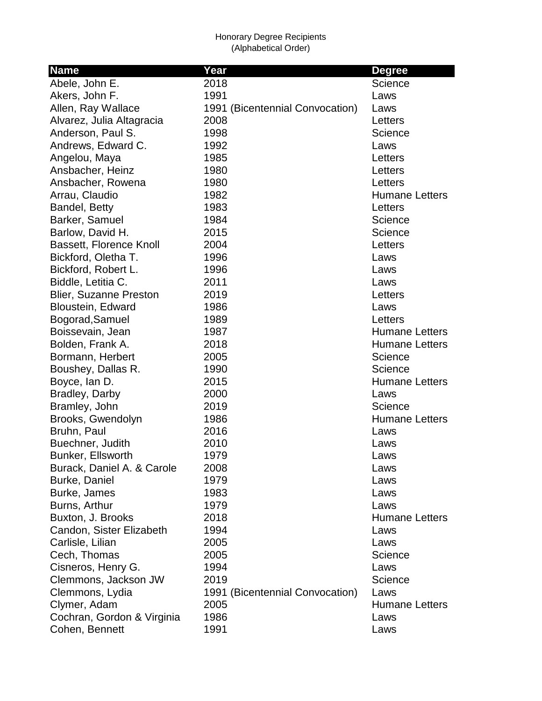| <b>Name</b>                    | Year                            | <b>Degree</b>         |
|--------------------------------|---------------------------------|-----------------------|
| Abele, John E.                 | 2018                            | Science               |
| Akers, John F.                 | 1991                            | Laws                  |
| Allen, Ray Wallace             | 1991 (Bicentennial Convocation) | Laws                  |
| Alvarez, Julia Altagracia      | 2008                            | Letters               |
| Anderson, Paul S.              | 1998                            | Science               |
| Andrews, Edward C.             | 1992                            | Laws                  |
| Angelou, Maya                  | 1985                            | Letters               |
| Ansbacher, Heinz               | 1980                            | Letters               |
| Ansbacher, Rowena              | 1980                            | Letters               |
| Arrau, Claudio                 | 1982                            | <b>Humane Letters</b> |
| Bandel, Betty                  | 1983                            | Letters               |
| Barker, Samuel                 | 1984                            | Science               |
| Barlow, David H.               | 2015                            | Science               |
| <b>Bassett, Florence Knoll</b> | 2004                            | Letters               |
| Bickford, Oletha T.            | 1996                            | Laws                  |
| Bickford, Robert L.            | 1996                            | Laws                  |
| Biddle, Letitia C.             | 2011                            | Laws                  |
| <b>Blier, Suzanne Preston</b>  | 2019                            | Letters               |
| Bloustein, Edward              | 1986                            | Laws                  |
| Bogorad, Samuel                | 1989                            | Letters               |
| Boissevain, Jean               | 1987                            | <b>Humane Letters</b> |
| Bolden, Frank A.               | 2018                            | <b>Humane Letters</b> |
| Bormann, Herbert               | 2005                            | Science               |
| Boushey, Dallas R.             | 1990                            | Science               |
| Boyce, Ian D.                  | 2015                            | <b>Humane Letters</b> |
| Bradley, Darby                 | 2000                            | Laws                  |
| Bramley, John                  | 2019                            | Science               |
| Brooks, Gwendolyn              | 1986                            | <b>Humane Letters</b> |
| Bruhn, Paul                    | 2016                            | Laws                  |
| Buechner, Judith               | 2010                            | Laws                  |
| Bunker, Ellsworth              | 1979                            | Laws                  |
| Burack, Daniel A. & Carole     | 2008                            | Laws                  |
| Burke, Daniel                  | 1979                            | Laws                  |
| Burke, James                   | 1983                            | Laws                  |
| Burns, Arthur                  | 1979                            | Laws                  |
| Buxton, J. Brooks              | 2018                            | <b>Humane Letters</b> |
| Candon, Sister Elizabeth       | 1994                            | Laws                  |
| Carlisle, Lilian               | 2005                            | Laws                  |
| Cech, Thomas                   | 2005                            | Science               |
| Cisneros, Henry G.             | 1994                            | Laws                  |
| Clemmons, Jackson JW           | 2019                            | Science               |
| Clemmons, Lydia                | 1991 (Bicentennial Convocation) | Laws                  |
| Clymer, Adam                   | 2005                            | <b>Humane Letters</b> |
| Cochran, Gordon & Virginia     | 1986                            | Laws                  |
| Cohen, Bennett                 | 1991                            | Laws                  |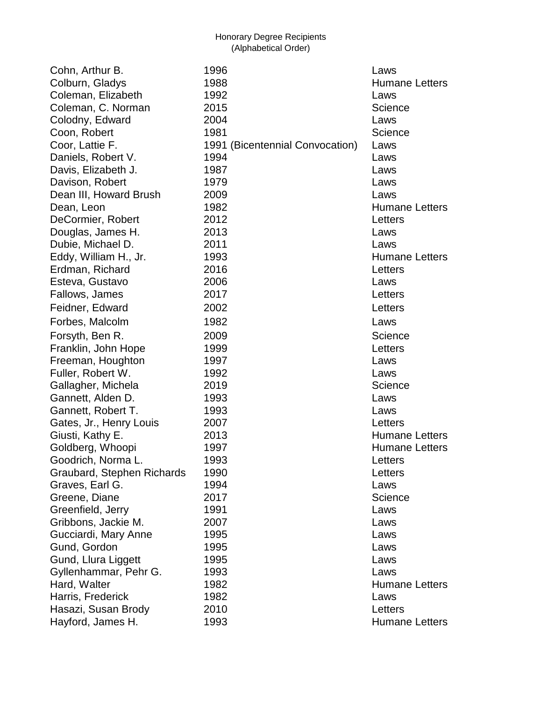Cohn, Arthur B. 1996 Laws Colburn, Gladys **1988 Humane Letters** Coleman, Elizabeth 1992 Laws Coleman, C. Norman 2015 **Science** 3. Science Colodny, Edward 2004 Laws Coon, Robert 1981 and 1981 Science Coor, Lattie F. 1991 (Bicentennial Convocation) Laws Daniels, Robert V. 1994 **Laws** Davis, Elizabeth J. 1987 Laws Davison, Robert 1979 Laws Dean III, Howard Brush 2009 2009 Laws Dean, Leon 1982 **Humane Letters** DeCormier, Robert 2012 2012 Douglas, James H. 2013 Laws Dubie, Michael D. 2011 Laws Eddy, William H., Jr. 1993 **Humane Letters** Erdman, Richard 2016 Letters Esteva, Gustavo 2006 Laws Fallows, James 2017 Letters Feidner, Edward 2002 **Detection Executive Contract Contract Contract Contract Contract Contract Contract Contract Contract Contract Contract Contract Contract Contract Contract Contract Contract Contract Contract Contract** Forbes, Malcolm 1982 Laws Forsyth, Ben R. 2009 **Science** Science Franklin, John Hope 1999 **Letters** Freeman, Houghton 1997 1997 Laws Fuller, Robert W. 1992 Laws Gallagher, Michela 2019 **Callagher, Michela 2019** Science Gannett, Alden D. 1993 Laws Gannett, Robert T. (1993 Laws Gates, Jr., Henry Louis 2007 2007 Giusti, Kathy E. 2013 Humane Letters Goldberg, Whoopi 1997 1997 Humane Letters Goodrich, Norma L. 1993 Letters Graubard, Stephen Richards 1990 Letters Graves, Earl G. 1994 **Contains Earl Contract Contains Container** Contains Laws Greene, Diane 2017 Creene, Diane 2017 Greenfield, Jerry 1991 and the Laws Gribbons, Jackie M. 2007 Laws Gucciardi, Mary Anne 1995 **Laws** Gund, Gordon 1995 Laws Gund, Llura Liggett 1995 and the Laws Gyllenhammar, Pehr G. 1993 Laws Hard, Walter 1982 **Humane Letters** Harris, Frederick 1982 Laws Hasazi, Susan Brody 2010 Letters Hayford, James H. 1993 **Hayford, James H. New York Constructs** Humane Letters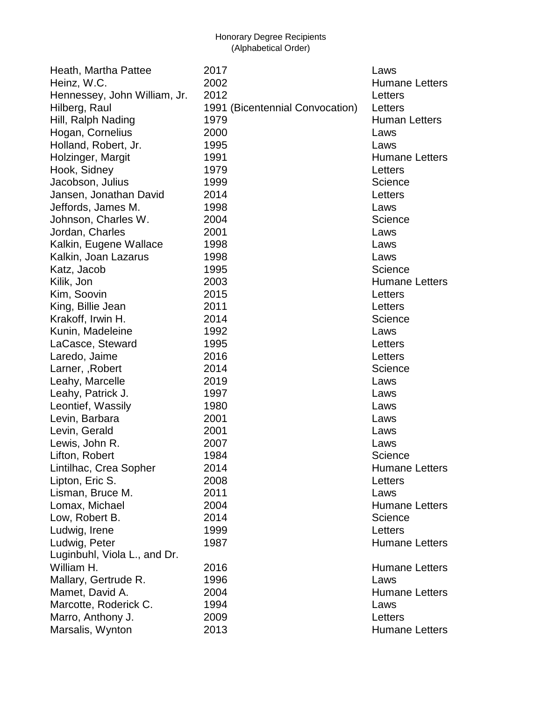| Heath, Martha Pattee         | 2017                            | Laws                  |
|------------------------------|---------------------------------|-----------------------|
| Heinz, W.C.                  | 2002                            | <b>Humane Letters</b> |
| Hennessey, John William, Jr. | 2012                            | Letters               |
| Hilberg, Raul                | 1991 (Bicentennial Convocation) | Letters               |
| Hill, Ralph Nading           | 1979                            | <b>Human Letters</b>  |
| Hogan, Cornelius             | 2000                            | Laws                  |
| Holland, Robert, Jr.         | 1995                            | Laws                  |
| Holzinger, Margit            | 1991                            | <b>Humane Letters</b> |
| Hook, Sidney                 | 1979                            | Letters               |
| Jacobson, Julius             | 1999                            | Science               |
| Jansen, Jonathan David       | 2014                            | Letters               |
| Jeffords, James M.           | 1998                            | Laws                  |
| Johnson, Charles W.          | 2004                            | Science               |
| Jordan, Charles              | 2001                            | Laws                  |
| Kalkin, Eugene Wallace       | 1998                            | Laws                  |
| Kalkin, Joan Lazarus         | 1998                            | Laws                  |
| Katz, Jacob                  | 1995                            | Science               |
| Kilik, Jon                   | 2003                            | <b>Humane Letters</b> |
| Kim, Soovin                  | 2015                            | Letters               |
| King, Billie Jean            | 2011                            | Letters               |
| Krakoff, Irwin H.            | 2014                            | Science               |
| Kunin, Madeleine             | 1992                            | Laws                  |
| LaCasce, Steward             | 1995                            | Letters               |
| Laredo, Jaime                | 2016                            | Letters               |
| Larner, , Robert             | 2014                            | Science               |
| Leahy, Marcelle              | 2019                            | Laws                  |
| Leahy, Patrick J.            | 1997                            | Laws                  |
| Leontief, Wassily            | 1980                            | Laws                  |
| Levin, Barbara               | 2001                            | Laws                  |
| Levin, Gerald                | 2001                            | Laws                  |
| Lewis, John R.               | 2007                            | Laws                  |
| Lifton, Robert               | 1984                            | Science               |
| Lintilhac, Crea Sopher       | 2014                            | <b>Humane Letters</b> |
| Lipton, Eric S.              | 2008                            | Letters               |
| Lisman, Bruce M.             | 2011                            | Laws                  |
| Lomax, Michael               | 2004                            | <b>Humane Letters</b> |
| Low, Robert B.               | 2014                            | Science               |
| Ludwig, Irene                | 1999                            | Letters               |
| Ludwig, Peter                | 1987                            | <b>Humane Letters</b> |
| Luginbuhl, Viola L., and Dr. |                                 |                       |
| William H.                   | 2016                            | <b>Humane Letters</b> |
| Mallary, Gertrude R.         | 1996                            | Laws                  |
| Mamet, David A.              | 2004                            | <b>Humane Letters</b> |
| Marcotte, Roderick C.        | 1994                            | Laws                  |
| Marro, Anthony J.            | 2009                            | Letters               |
| Marsalis, Wynton             | 2013                            | <b>Humane Letters</b> |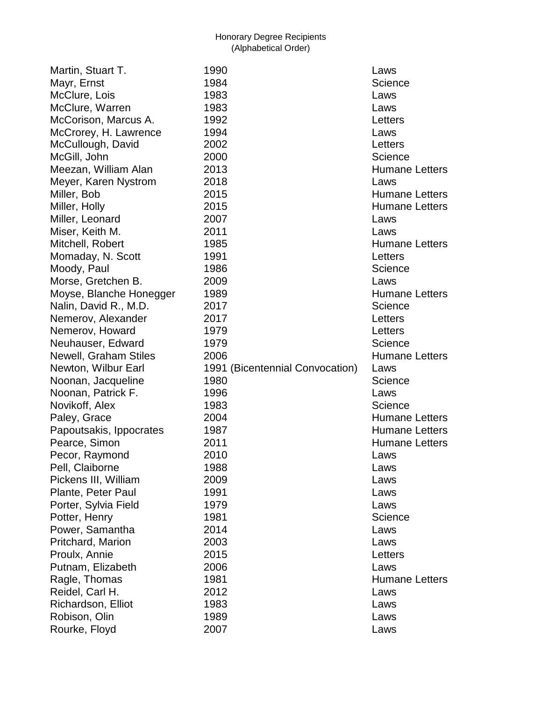| 1990                                    | Laws                          |
|-----------------------------------------|-------------------------------|
| 1984                                    | Science                       |
| 1983                                    | Laws                          |
| 1983                                    | Laws                          |
| 1992                                    | Letters                       |
| 1994                                    | Laws                          |
| 2002                                    | Letters                       |
| 2000                                    | Science                       |
| 2013                                    | <b>Humane Letters</b>         |
| 2018                                    | Laws                          |
| 2015                                    | <b>Humane Letters</b>         |
| 2015                                    | <b>Humane Letters</b>         |
| 2007                                    | Laws                          |
| 2011                                    | Laws                          |
| 1985                                    | <b>Humane Letters</b>         |
| 1991                                    | Letters                       |
| 1986                                    | Science                       |
| 2009                                    | Laws                          |
|                                         | <b>Humane Letters</b>         |
| 2017                                    | Science                       |
| 2017                                    | Letters                       |
| 1979                                    | Letters                       |
| 1979                                    | Science                       |
|                                         |                               |
|                                         | <b>Humane Letters</b>         |
| 2006                                    | Laws                          |
| 1991 (Bicentennial Convocation)<br>1980 | Science                       |
| 1996                                    | Laws                          |
| 1983                                    | Science                       |
| 2004                                    | <b>Humane Letters</b>         |
| 1987                                    | <b>Humane Letters</b>         |
| 2011                                    |                               |
| 2010                                    | <b>Humane Letters</b><br>Laws |
|                                         |                               |
| 1988<br>2009                            | Laws<br>Laws                  |
| 1991                                    | Laws                          |
| 1979                                    | Laws                          |
| 1981                                    | Science                       |
| 2014                                    |                               |
| 2003                                    | Laws<br>Laws                  |
|                                         |                               |
| 2015                                    | Letters                       |
| 2006<br>1981                            | Laws<br><b>Humane Letters</b> |
| 2012                                    | Laws                          |
| 1983                                    |                               |
| 1989                                    | Laws<br>Laws                  |
|                                         | 1989                          |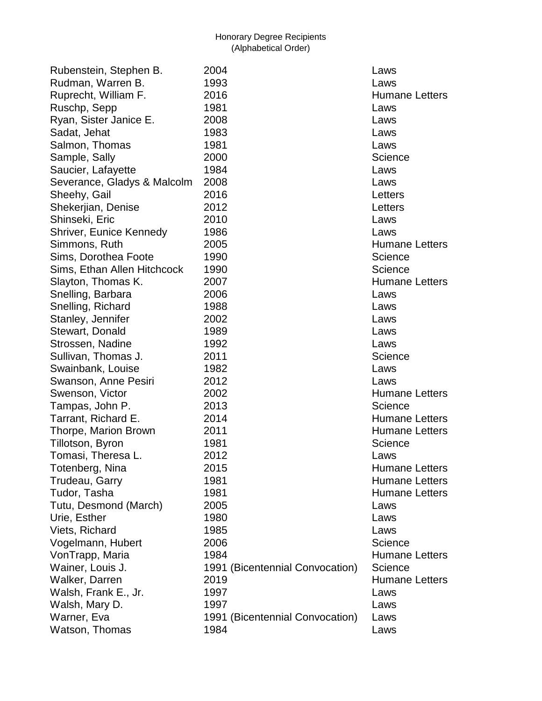| Rubenstein, Stephen B.         | 2004                            | Laws          |
|--------------------------------|---------------------------------|---------------|
| Rudman, Warren B.              | 1993                            | Laws          |
| Ruprecht, William F.           | 2016                            | <b>Humane</b> |
| Ruschp, Sepp                   | 1981                            | Laws          |
| Ryan, Sister Janice E.         | 2008                            | Laws          |
| Sadat, Jehat                   | 1983                            | Laws          |
| Salmon, Thomas                 | 1981                            | Laws          |
| Sample, Sally                  | 2000                            | Science       |
| Saucier, Lafayette             | 1984                            | Laws          |
| Severance, Gladys & Malcolm    | 2008                            | Laws          |
| Sheehy, Gail                   | 2016                            | Letters       |
| Shekerjian, Denise             | 2012                            | Letters       |
| Shinseki, Eric                 | 2010                            | Laws          |
| <b>Shriver, Eunice Kennedy</b> | 1986                            | Laws          |
| Simmons, Ruth                  | 2005                            | <b>Humane</b> |
| Sims, Dorothea Foote           | 1990                            | Science       |
| Sims, Ethan Allen Hitchcock    | 1990                            | Science       |
| Slayton, Thomas K.             | 2007                            | <b>Humane</b> |
| Snelling, Barbara              | 2006                            | Laws          |
| Snelling, Richard              | 1988                            | Laws          |
| Stanley, Jennifer              | 2002                            | Laws          |
| Stewart, Donald                | 1989                            | Laws          |
| Strossen, Nadine               | 1992                            | Laws          |
| Sullivan, Thomas J.            | 2011                            | Science       |
| Swainbank, Louise              | 1982                            | Laws          |
| Swanson, Anne Pesiri           | 2012                            | Laws          |
| Swenson, Victor                | 2002                            | Humane        |
| Tampas, John P.                | 2013                            | Science       |
| Tarrant, Richard E.            | 2014                            | Humane        |
| Thorpe, Marion Brown           | 2011                            | <b>Humane</b> |
| Tillotson, Byron               | 1981                            | Science       |
| Tomasi, Theresa L.             | 2012                            | Laws          |
| Totenberg, Nina                | 2015                            | <b>Humane</b> |
| Trudeau, Garry                 | 1981                            | Humane        |
| Tudor, Tasha                   | 1981                            | Humane        |
| Tutu, Desmond (March)          | 2005                            | Laws          |
| Urie, Esther                   | 1980                            | Laws          |
| Viets, Richard                 | 1985                            | Laws          |
| Vogelmann, Hubert              | 2006                            | Science       |
| VonTrapp, Maria                | 1984                            | Humane        |
| Wainer, Louis J.               | 1991 (Bicentennial Convocation) | Science       |
| Walker, Darren                 | 2019                            | Humane        |
| Walsh, Frank E., Jr.           | 1997                            | Laws          |
| Walsh, Mary D.                 | 1997                            | Laws          |
| Warner, Eva                    | 1991 (Bicentennial Convocation) | Laws          |
| Watson, Thomas                 | 1984                            | Laws          |

Humane Letters Humane Letters Humane Letters Humane Letters Humane Letters Humane Letters Humane Letters Humane Letters Humane Letters Humane Letters Itennial Convocation) Science Humane Letters Itennial Convocation) Laws